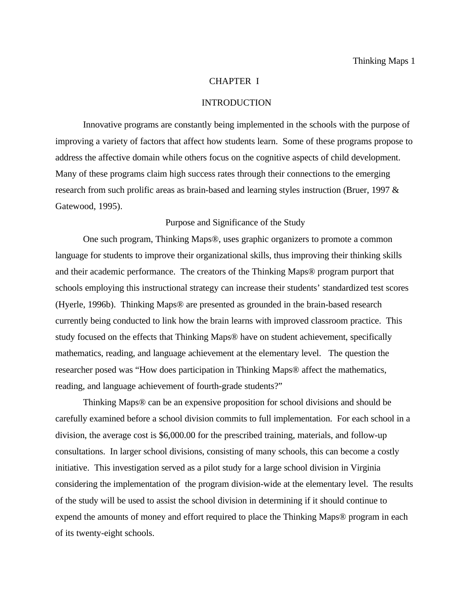## CHAPTER I

## INTRODUCTION

Innovative programs are constantly being implemented in the schools with the purpose of improving a variety of factors that affect how students learn. Some of these programs propose to address the affective domain while others focus on the cognitive aspects of child development. Many of these programs claim high success rates through their connections to the emerging research from such prolific areas as brain-based and learning styles instruction (Bruer, 1997 & Gatewood, 1995).

#### Purpose and Significance of the Study

One such program, Thinking Maps®, uses graphic organizers to promote a common language for students to improve their organizational skills, thus improving their thinking skills and their academic performance. The creators of the Thinking Maps® program purport that schools employing this instructional strategy can increase their students' standardized test scores (Hyerle, 1996b). Thinking Maps® are presented as grounded in the brain-based research currently being conducted to link how the brain learns with improved classroom practice. This study focused on the effects that Thinking Maps® have on student achievement, specifically mathematics, reading, and language achievement at the elementary level. The question the researcher posed was "How does participation in Thinking Maps® affect the mathematics, reading, and language achievement of fourth-grade students?"

Thinking Maps® can be an expensive proposition for school divisions and should be carefully examined before a school division commits to full implementation. For each school in a division, the average cost is \$6,000.00 for the prescribed training, materials, and follow-up consultations. In larger school divisions, consisting of many schools, this can become a costly initiative. This investigation served as a pilot study for a large school division in Virginia considering the implementation of the program division-wide at the elementary level. The results of the study will be used to assist the school division in determining if it should continue to expend the amounts of money and effort required to place the Thinking Maps® program in each of its twenty-eight schools.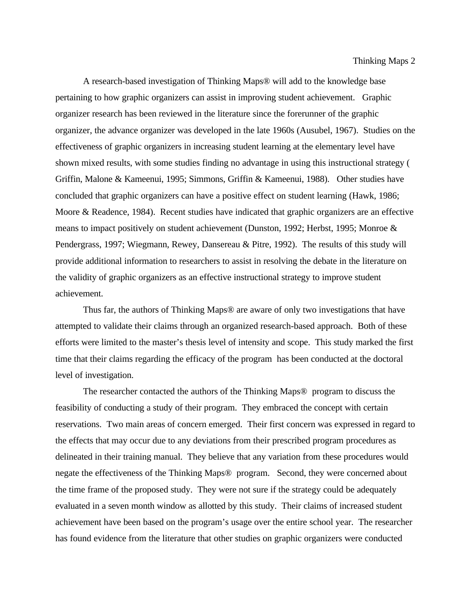A research-based investigation of Thinking Maps® will add to the knowledge base pertaining to how graphic organizers can assist in improving student achievement. Graphic organizer research has been reviewed in the literature since the forerunner of the graphic organizer, the advance organizer was developed in the late 1960s (Ausubel, 1967). Studies on the effectiveness of graphic organizers in increasing student learning at the elementary level have shown mixed results, with some studies finding no advantage in using this instructional strategy ( Griffin, Malone & Kameenui, 1995; Simmons, Griffin & Kameenui, 1988). Other studies have concluded that graphic organizers can have a positive effect on student learning (Hawk, 1986; Moore & Readence, 1984). Recent studies have indicated that graphic organizers are an effective means to impact positively on student achievement (Dunston, 1992; Herbst, 1995; Monroe & Pendergrass, 1997; Wiegmann, Rewey, Dansereau & Pitre, 1992). The results of this study will provide additional information to researchers to assist in resolving the debate in the literature on the validity of graphic organizers as an effective instructional strategy to improve student achievement.

Thus far, the authors of Thinking Maps® are aware of only two investigations that have attempted to validate their claims through an organized research-based approach. Both of these efforts were limited to the master's thesis level of intensity and scope. This study marked the first time that their claims regarding the efficacy of the program has been conducted at the doctoral level of investigation.

The researcher contacted the authors of the Thinking Maps® program to discuss the feasibility of conducting a study of their program. They embraced the concept with certain reservations. Two main areas of concern emerged. Their first concern was expressed in regard to the effects that may occur due to any deviations from their prescribed program procedures as delineated in their training manual. They believe that any variation from these procedures would negate the effectiveness of the Thinking Maps® program. Second, they were concerned about the time frame of the proposed study. They were not sure if the strategy could be adequately evaluated in a seven month window as allotted by this study. Their claims of increased student achievement have been based on the program's usage over the entire school year. The researcher has found evidence from the literature that other studies on graphic organizers were conducted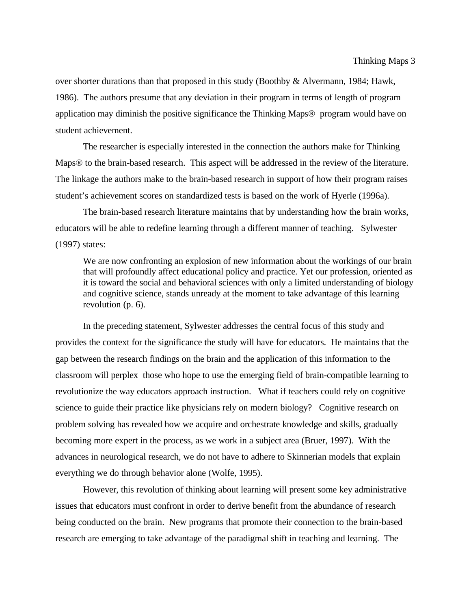over shorter durations than that proposed in this study (Boothby & Alvermann, 1984; Hawk, 1986). The authors presume that any deviation in their program in terms of length of program application may diminish the positive significance the Thinking Maps® program would have on student achievement.

The researcher is especially interested in the connection the authors make for Thinking Maps® to the brain-based research. This aspect will be addressed in the review of the literature. The linkage the authors make to the brain-based research in support of how their program raises student's achievement scores on standardized tests is based on the work of Hyerle (1996a).

The brain-based research literature maintains that by understanding how the brain works, educators will be able to redefine learning through a different manner of teaching. Sylwester (1997) states:

We are now confronting an explosion of new information about the workings of our brain that will profoundly affect educational policy and practice. Yet our profession, oriented as it is toward the social and behavioral sciences with only a limited understanding of biology and cognitive science, stands unready at the moment to take advantage of this learning revolution (p. 6).

In the preceding statement, Sylwester addresses the central focus of this study and provides the context for the significance the study will have for educators. He maintains that the gap between the research findings on the brain and the application of this information to the classroom will perplex those who hope to use the emerging field of brain-compatible learning to revolutionize the way educators approach instruction. What if teachers could rely on cognitive science to guide their practice like physicians rely on modern biology? Cognitive research on problem solving has revealed how we acquire and orchestrate knowledge and skills, gradually becoming more expert in the process, as we work in a subject area (Bruer, 1997). With the advances in neurological research, we do not have to adhere to Skinnerian models that explain everything we do through behavior alone (Wolfe, 1995).

However, this revolution of thinking about learning will present some key administrative issues that educators must confront in order to derive benefit from the abundance of research being conducted on the brain. New programs that promote their connection to the brain-based research are emerging to take advantage of the paradigmal shift in teaching and learning. The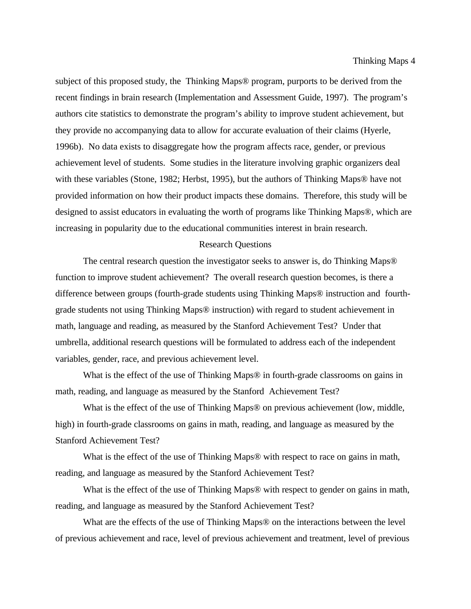subject of this proposed study, the Thinking Maps® program, purports to be derived from the recent findings in brain research (Implementation and Assessment Guide, 1997). The program's authors cite statistics to demonstrate the program's ability to improve student achievement, but they provide no accompanying data to allow for accurate evaluation of their claims (Hyerle, 1996b). No data exists to disaggregate how the program affects race, gender, or previous achievement level of students. Some studies in the literature involving graphic organizers deal with these variables (Stone, 1982; Herbst, 1995), but the authors of Thinking Maps® have not provided information on how their product impacts these domains. Therefore, this study will be designed to assist educators in evaluating the worth of programs like Thinking Maps®, which are increasing in popularity due to the educational communities interest in brain research.

#### Research Questions

The central research question the investigator seeks to answer is, do Thinking Maps® function to improve student achievement? The overall research question becomes, is there a difference between groups (fourth-grade students using Thinking Maps® instruction and fourthgrade students not using Thinking Maps® instruction) with regard to student achievement in math, language and reading, as measured by the Stanford Achievement Test? Under that umbrella, additional research questions will be formulated to address each of the independent variables, gender, race, and previous achievement level.

What is the effect of the use of Thinking Maps® in fourth-grade classrooms on gains in math, reading, and language as measured by the Stanford Achievement Test?

What is the effect of the use of Thinking Maps<sup>®</sup> on previous achievement (low, middle, high) in fourth-grade classrooms on gains in math, reading, and language as measured by the Stanford Achievement Test?

What is the effect of the use of Thinking Maps<sup>®</sup> with respect to race on gains in math, reading, and language as measured by the Stanford Achievement Test?

What is the effect of the use of Thinking Maps<sup>®</sup> with respect to gender on gains in math, reading, and language as measured by the Stanford Achievement Test?

What are the effects of the use of Thinking Maps® on the interactions between the level of previous achievement and race, level of previous achievement and treatment, level of previous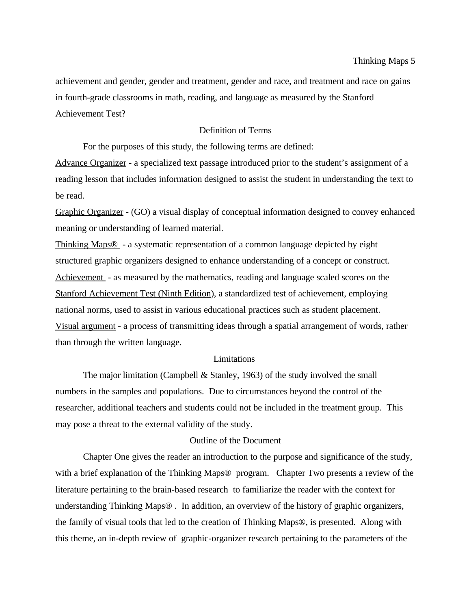achievement and gender, gender and treatment, gender and race, and treatment and race on gains in fourth-grade classrooms in math, reading, and language as measured by the Stanford Achievement Test?

### Definition of Terms

For the purposes of this study, the following terms are defined:

Advance Organizer - a specialized text passage introduced prior to the student's assignment of a reading lesson that includes information designed to assist the student in understanding the text to be read.

Graphic Organizer - (GO) a visual display of conceptual information designed to convey enhanced meaning or understanding of learned material.

Thinking Maps® - a systematic representation of a common language depicted by eight structured graphic organizers designed to enhance understanding of a concept or construct. Achievement - as measured by the mathematics, reading and language scaled scores on the Stanford Achievement Test (Ninth Edition), a standardized test of achievement, employing national norms, used to assist in various educational practices such as student placement. Visual argument - a process of transmitting ideas through a spatial arrangement of words, rather than through the written language.

### Limitations

The major limitation (Campbell  $&$  Stanley, 1963) of the study involved the small numbers in the samples and populations. Due to circumstances beyond the control of the researcher, additional teachers and students could not be included in the treatment group. This may pose a threat to the external validity of the study.

# Outline of the Document

Chapter One gives the reader an introduction to the purpose and significance of the study, with a brief explanation of the Thinking Maps<sup>®</sup> program. Chapter Two presents a review of the literature pertaining to the brain-based research to familiarize the reader with the context for understanding Thinking Maps® . In addition, an overview of the history of graphic organizers, the family of visual tools that led to the creation of Thinking Maps®, is presented. Along with this theme, an in-depth review of graphic-organizer research pertaining to the parameters of the